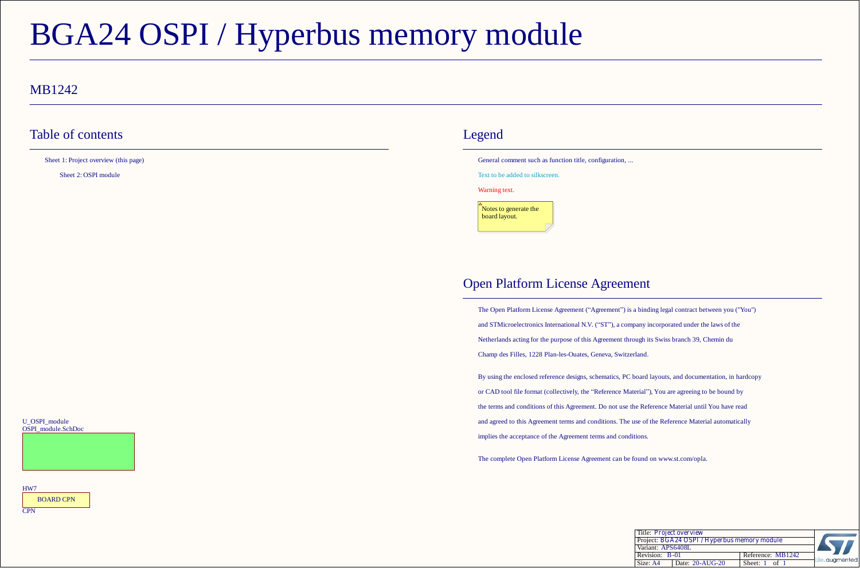# BGA24 OSPI / Hyperbus memory module

### MB1242

## Table of contents Legend

Sheet 1: Project overview (this page)

Sheet 2: OSPI module

General comment such as function title, configuration, ...

Text to be added to silkscreen.

Warning text.



### Open Platform License Agreement

The Open Platform License Agreement ("Agreement") is a binding legal contract between you ("You") and STMicroelectronics International N.V. ("ST"), a company incorporated under the laws of the Netherlands acting for the purpose of this Agreement through its Swiss branch 39, Chemin du Champ des Filles, 1228 Plan-les-Ouates, Geneva, Switzerland.

By using the enclosed reference designs, schematics, PC board layouts, and documentation, in hardcopy or CAD tool file format (collectively, the "Reference Material"), You are agreeing to be bound by the terms and conditions of this Agreement. Do not use the Reference Material until You have read and agreed to this Agreement terms and conditions. The use of the Reference Material automatically implies the acceptance of the Agreement terms and conditions.

The complete Open Platform License Agreement can be found on www.st.com/opla.

| <b>Title: Project overview</b>               |                   |                   |                |  |
|----------------------------------------------|-------------------|-------------------|----------------|--|
| Project: BGA24 OSPI / Hyperbus memory module |                   |                   |                |  |
|                                              | Variant: APS6408L |                   |                |  |
| Revision: B-01                               |                   | Reference: MB1242 |                |  |
| Size: A4                                     | Date: $20-AUG-20$ | Sheet: $1$ of $1$ | life.augmented |  |



BOARD CPN **CPN** HW7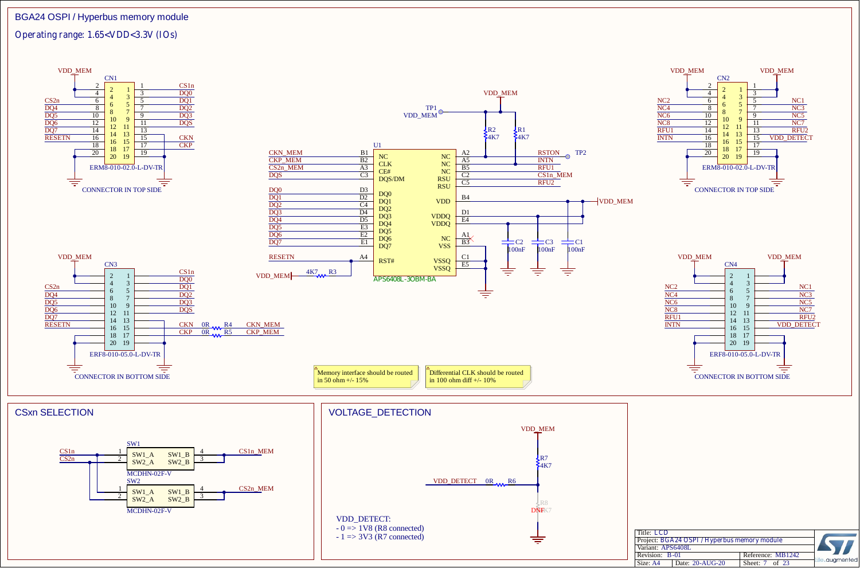### BGA24 OSPI / Hyperbus memory module

**Operating range: 1.65<VDD<3.3V (IOs)**

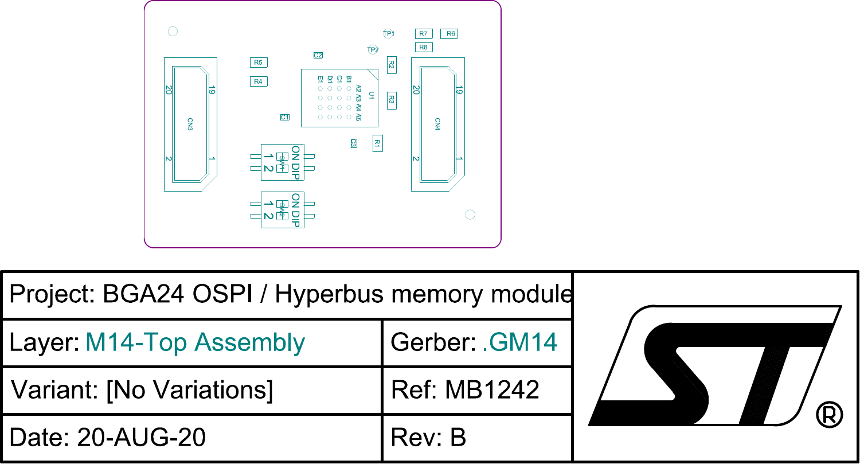

| Project: BGA24 OSPI / Hyperbus memory module |               |   |
|----------------------------------------------|---------------|---|
| <b>Layer: M14-Top Assembly</b>               | Gerber: .GM14 |   |
| Variant: [No Variations]                     | Ref: MB1242   | R |
| Date: 20-AUG-20                              | Rev: B        |   |